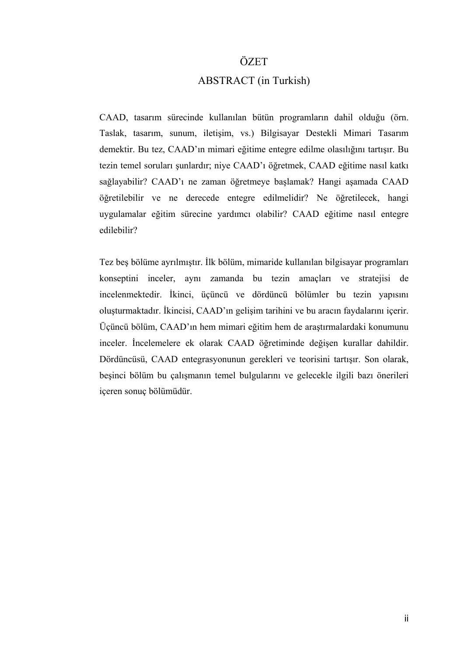## ÖZET

## ABSTRACT (in Turkish)

CAAD, tasarım sürecinde kullanılan bütün programların dahil olduğu (örn. Taslak, tasarım, sunum, iletişim, vs.) Bilgisayar Destekli Mimari Tasarım demektir. Bu tez, CAAD'ın mimari eğitime entegre edilme olasılığını tartışır. Bu tezin temel soruları şunlardır; niye CAAD'ı öğretmek, CAAD eğitime nasıl katkı sağlayabilir? CAAD'ı ne zaman öğretmeye başlamak? Hangi aşamada CAAD öğretilebilir ve ne derecede entegre edilmelidir? Ne öğretilecek, hangi uygulamalar eğitim sürecine yardımcı olabilir? CAAD eğitime nasıl entegre edilebilir?

Tez beş bölüme ayrılmıştır. İlk bölüm, mimaride kullanılan bilgisayar programları konseptini inceler, aynı zamanda bu tezin amaçları ve stratejisi de incelenmektedir. İkinci, üçüncü ve dördüncü bölümler bu tezin yapısını oluşturmaktadır. İkincisi, CAAD'ın gelişim tarihini ve bu aracın faydalarını içerir. Üçüncü bölüm, CAAD'ın hem mimari eğitim hem de araştırmalardaki konumunu inceler. İncelemelere ek olarak CAAD öğretiminde değişen kurallar dahildir. Dördüncüsü, CAAD entegrasyonunun gerekleri ve teorisini tartışır. Son olarak, beşinci bölüm bu çalışmanın temel bulgularını ve gelecekle ilgili bazı önerileri içeren sonuç bölümüdür.